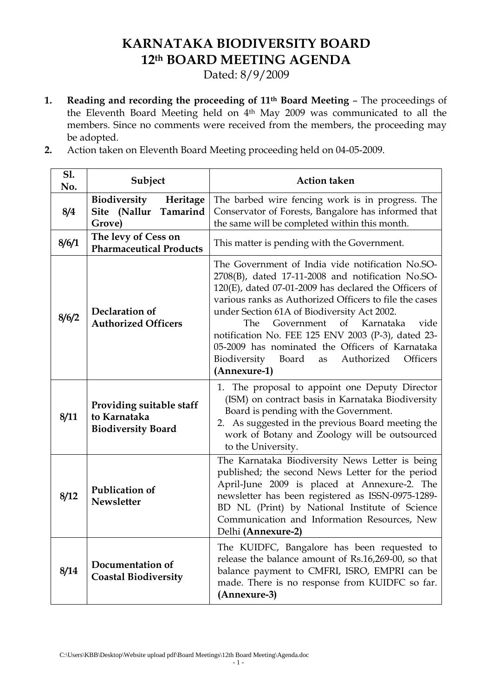# **KARNATAKA BIODIVERSITY BOARD 12th BOARD MEETING AGENDA**

Dated: 8/9/2009

- **1. Reading and recording the proceeding of 11th Board Meeting** The proceedings of the Eleventh Board Meeting held on 4<sup>th</sup> May 2009 was communicated to all the members. Since no comments were received from the members, the proceeding may be adopted.
- **2.** Action taken on Eleventh Board Meeting proceeding held on 04-05-2009.

| S1.<br>No. | Subject                                                               | <b>Action taken</b>                                                                                                                                                                                                                                                                                                                                                                                                                                                                                    |  |
|------------|-----------------------------------------------------------------------|--------------------------------------------------------------------------------------------------------------------------------------------------------------------------------------------------------------------------------------------------------------------------------------------------------------------------------------------------------------------------------------------------------------------------------------------------------------------------------------------------------|--|
| 8/4        | Biodiversity<br>Heritage<br>Site (Nallur<br>Tamarind<br>Grove)        | The barbed wire fencing work is in progress. The<br>Conservator of Forests, Bangalore has informed that<br>the same will be completed within this month.                                                                                                                                                                                                                                                                                                                                               |  |
| 8/6/1      | The levy of Cess on<br><b>Pharmaceutical Products</b>                 | This matter is pending with the Government.                                                                                                                                                                                                                                                                                                                                                                                                                                                            |  |
| 8/6/2      | Declaration of<br><b>Authorized Officers</b>                          | The Government of India vide notification No.SO-<br>2708(B), dated 17-11-2008 and notification No.SO-<br>$120(E)$ , dated 07-01-2009 has declared the Officers of<br>various ranks as Authorized Officers to file the cases<br>under Section 61A of Biodiversity Act 2002.<br>of Karnataka<br>Government<br>The<br>vide<br>notification No. FEE 125 ENV 2003 (P-3), dated 23-<br>05-2009 has nominated the Officers of Karnataka<br>Biodiversity Board<br>Authorized<br>Officers<br>as<br>(Annexure-1) |  |
| 8/11       | Providing suitable staff<br>to Karnataka<br><b>Biodiversity Board</b> | 1. The proposal to appoint one Deputy Director<br>(ISM) on contract basis in Karnataka Biodiversity<br>Board is pending with the Government.<br>2. As suggested in the previous Board meeting the<br>work of Botany and Zoology will be outsourced<br>to the University.                                                                                                                                                                                                                               |  |
| 8/12       | <b>Publication of</b><br><b>Newsletter</b>                            | The Karnataka Biodiversity News Letter is being<br>published; the second News Letter for the period<br>April-June 2009 is placed at Annexure-2. The<br>newsletter has been registered as ISSN-0975-1289-<br>BD NL (Print) by National Institute of Science<br>Communication and Information Resources, New<br>Delhi (Annexure-2)                                                                                                                                                                       |  |
| 8/14       | Documentation of<br><b>Coastal Biodiversity</b>                       | The KUIDFC, Bangalore has been requested to<br>release the balance amount of Rs.16,269-00, so that<br>balance payment to CMFRI, ISRO, EMPRI can be<br>made. There is no response from KUIDFC so far.<br>(Annexure-3)                                                                                                                                                                                                                                                                                   |  |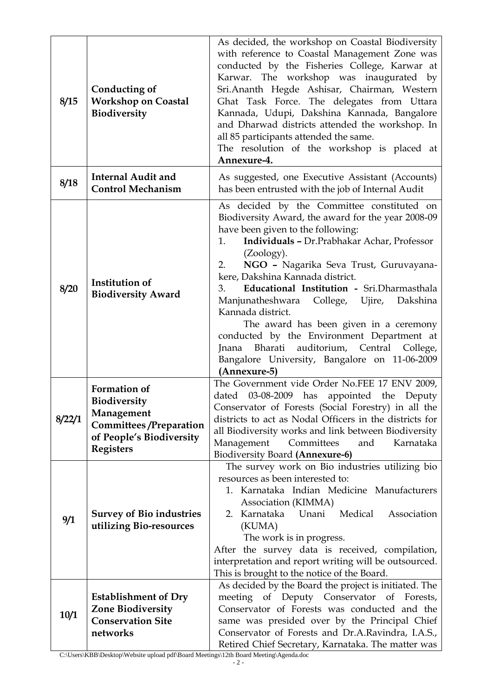| 8/15   | Conducting of<br><b>Workshop on Coastal</b><br>Biodiversity                                                                        | As decided, the workshop on Coastal Biodiversity<br>with reference to Coastal Management Zone was<br>conducted by the Fisheries College, Karwar at<br>Karwar. The workshop was inaugurated by<br>Sri.Ananth Hegde Ashisar, Chairman, Western<br>Ghat Task Force. The delegates from Uttara<br>Kannada, Udupi, Dakshina Kannada, Bangalore<br>and Dharwad districts attended the workshop. In<br>all 85 participants attended the same.<br>The resolution of the workshop is placed at<br>Annexure-4.                                                                                                                          |
|--------|------------------------------------------------------------------------------------------------------------------------------------|-------------------------------------------------------------------------------------------------------------------------------------------------------------------------------------------------------------------------------------------------------------------------------------------------------------------------------------------------------------------------------------------------------------------------------------------------------------------------------------------------------------------------------------------------------------------------------------------------------------------------------|
| 8/18   | <b>Internal Audit and</b><br><b>Control Mechanism</b>                                                                              | As suggested, one Executive Assistant (Accounts)<br>has been entrusted with the job of Internal Audit                                                                                                                                                                                                                                                                                                                                                                                                                                                                                                                         |
| 8/20   | <b>Institution of</b><br><b>Biodiversity Award</b>                                                                                 | As decided by the Committee constituted on<br>Biodiversity Award, the award for the year 2008-09<br>have been given to the following:<br>Individuals - Dr. Prabhakar Achar, Professor<br>1.<br>(Zoology).<br>NGO - Nagarika Seva Trust, Guruvayana-<br>2.<br>kere, Dakshina Kannada district.<br>Educational Institution - Sri.Dharmasthala<br>3.<br>Manjunatheshwara College, Ujire, Dakshina<br>Kannada district.<br>The award has been given in a ceremony<br>conducted by the Environment Department at<br>Bharati auditorium, Central College,<br>Jnana<br>Bangalore University, Bangalore on 11-06-2009<br>(Annexure-5) |
| 8/22/1 | Formation of<br><b>Biodiversity</b><br>Management<br><b>Committees/Preparation</b><br>of People's Biodiversity<br><b>Registers</b> | The Government vide Order No.FEE 17 ENV 2009,<br>dated 03-08-2009 has appointed the Deputy<br>Conservator of Forests (Social Forestry) in all the<br>districts to act as Nodal Officers in the districts for<br>all Biodiversity works and link between Biodiversity<br>Management<br>Committees<br>Karnataka<br>and<br><b>Biodiversity Board (Annexure-6)</b>                                                                                                                                                                                                                                                                |
| 9/1    | <b>Survey of Bio industries</b><br>utilizing Bio-resources                                                                         | The survey work on Bio industries utilizing bio<br>resources as been interested to:<br>1. Karnataka Indian Medicine Manufacturers<br>Association (KIMMA)<br>2. Karnataka Unani<br>Medical<br>Association<br>(KUMA)<br>The work is in progress.<br>After the survey data is received, compilation,<br>interpretation and report writing will be outsourced.<br>This is brought to the notice of the Board.                                                                                                                                                                                                                     |
| 10/1   | <b>Establishment of Dry</b><br><b>Zone Biodiversity</b><br><b>Conservation Site</b><br>networks                                    | As decided by the Board the project is initiated. The<br>meeting of Deputy Conservator of<br>Forests,<br>Conservator of Forests was conducted and the<br>same was presided over by the Principal Chief<br>Conservator of Forests and Dr.A.Ravindra, I.A.S.,<br>Retired Chief Secretary, Karnataka. The matter was                                                                                                                                                                                                                                                                                                             |

C:\Users\KBB\Desktop\Website upload pdf\Board Meetings\12th Board Meeting\Agenda.doc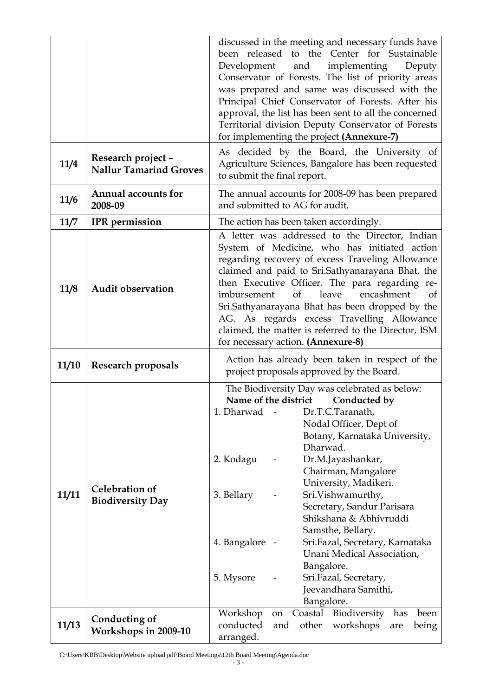|       |                                                     | discussed in the meeting and necessary funds have<br>been released to the Center for Sustainable<br>Development<br>and<br>implementing<br>Deputy<br>Conservator of Forests. The list of priority areas<br>was prepared and same was discussed with the<br>Principal Chief Conservator of Forests. After his<br>approval, the list has been sent to all the concerned<br>Territorial division Deputy Conservator of Forests<br>for implementing the project (Annexure-7)                                                                                                     |  |  |  |
|-------|-----------------------------------------------------|-----------------------------------------------------------------------------------------------------------------------------------------------------------------------------------------------------------------------------------------------------------------------------------------------------------------------------------------------------------------------------------------------------------------------------------------------------------------------------------------------------------------------------------------------------------------------------|--|--|--|
| 11/4  | Research project -<br><b>Nallur Tamarind Groves</b> | As decided by the Board, the University of<br>Agriculture Sciences, Bangalore has been requested<br>to submit the final report.                                                                                                                                                                                                                                                                                                                                                                                                                                             |  |  |  |
| 11/6  | <b>Annual accounts for</b><br>2008-09               | The annual accounts for 2008-09 has been prepared<br>and submitted to AG for audit.                                                                                                                                                                                                                                                                                                                                                                                                                                                                                         |  |  |  |
| 11/7  | <b>IPR</b> permission                               | The action has been taken accordingly.                                                                                                                                                                                                                                                                                                                                                                                                                                                                                                                                      |  |  |  |
| 11/8  | <b>Audit observation</b>                            | A letter was addressed to the Director, Indian<br>System of Medicine, who has initiated action<br>regarding recovery of excess Traveling Allowance<br>claimed and paid to Sri.Sathyanarayana Bhat, the<br>then Executive Officer. The para regarding re-<br>imbursement<br>leave<br>encashment<br>of<br><sub>of</sub><br>Sri.Sathyanarayana Bhat has been dropped by the<br>AG. As regards excess Travelling Allowance<br>claimed, the matter is referred to the Director, ISM<br>for necessary action. (Annexure-8)                                                        |  |  |  |
| 11/10 | <b>Research proposals</b>                           | Action has already been taken in respect of the<br>project proposals approved by the Board.                                                                                                                                                                                                                                                                                                                                                                                                                                                                                 |  |  |  |
| 11/11 | <b>Celebration of</b><br><b>Biodiversity Day</b>    | The Biodiversity Day was celebrated as below:<br>Name of the district<br>Conducted by<br>1. Dharwad<br>Dr.T.C.Taranath,<br>Nodal Officer, Dept of<br>Botany, Karnataka University,<br>Dharwad.<br>Dr.M.Jayashankar,<br>2. Kodagu<br>Chairman, Mangalore<br>University, Madikeri.<br>Sri.Vishwamurthy,<br>3. Bellary<br>Secretary, Sandur Parisara<br>Shikshana & Abhivruddi<br>Samsthe, Bellary.<br>Sri.Fazal, Secretary, Karnataka<br>4. Bangalore<br>Unani Medical Association,<br>Bangalore.<br>5. Mysore<br>Sri.Fazal, Secretary,<br>Jeevandhara Samithi,<br>Bangalore. |  |  |  |
| 11/13 | Conducting of                                       | Coastal Biodiversity<br>Workshop<br>has<br>been<br>on<br>conducted<br>other<br>workshops<br>and<br>being<br>are                                                                                                                                                                                                                                                                                                                                                                                                                                                             |  |  |  |

C:\Users\KBB\Desktop\Website upload pdf\Board Meetings\12th Board Meeting\Agenda.doc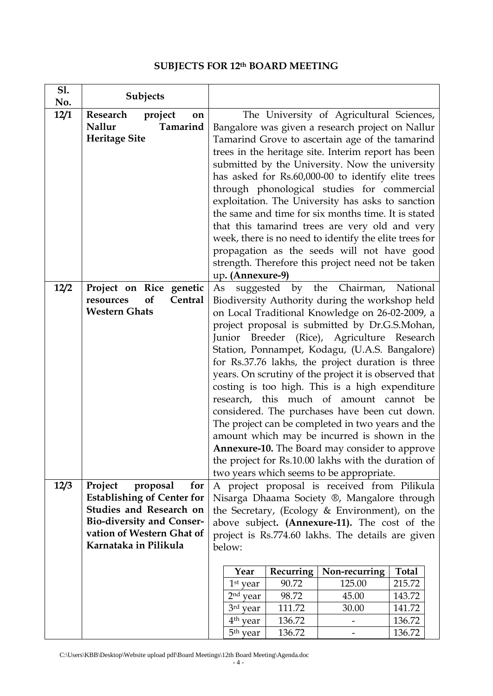# **SUBJECTS FOR 12th BOARD MEETING**

| <b>S1.</b><br>No. | Subjects                                              |                                                                                                    |                      |           |                                                        |              |  |
|-------------------|-------------------------------------------------------|----------------------------------------------------------------------------------------------------|----------------------|-----------|--------------------------------------------------------|--------------|--|
| 12/1              | Research project<br>on                                | The University of Agricultural Sciences,                                                           |                      |           |                                                        |              |  |
|                   | <b>Nallur</b><br>Tamarind                             |                                                                                                    |                      |           | Bangalore was given a research project on Nallur       |              |  |
|                   | <b>Heritage Site</b>                                  |                                                                                                    |                      |           | Tamarind Grove to ascertain age of the tamarind        |              |  |
|                   |                                                       |                                                                                                    |                      |           | trees in the heritage site. Interim report has been    |              |  |
|                   |                                                       |                                                                                                    |                      |           | submitted by the University. Now the university        |              |  |
|                   |                                                       |                                                                                                    |                      |           | has asked for Rs.60,000-00 to identify elite trees     |              |  |
|                   |                                                       |                                                                                                    |                      |           | through phonological studies for commercial            |              |  |
|                   |                                                       |                                                                                                    |                      |           |                                                        |              |  |
|                   |                                                       |                                                                                                    |                      |           | exploitation. The University has asks to sanction      |              |  |
|                   |                                                       |                                                                                                    |                      |           | the same and time for six months time. It is stated    |              |  |
|                   |                                                       |                                                                                                    |                      |           | that this tamarind trees are very old and very         |              |  |
|                   |                                                       |                                                                                                    |                      |           | week, there is no need to identify the elite trees for |              |  |
|                   |                                                       |                                                                                                    |                      |           | propagation as the seeds will not have good            |              |  |
|                   |                                                       |                                                                                                    |                      |           | strength. Therefore this project need not be taken     |              |  |
|                   |                                                       | up. (Annexure-9)                                                                                   |                      |           |                                                        |              |  |
| 12/2              | Project on Rice genetic<br>of<br>Central<br>resources | As                                                                                                 |                      |           | suggested by the Chairman, National                    |              |  |
|                   | <b>Western Ghats</b>                                  |                                                                                                    |                      |           | Biodiversity Authority during the workshop held        |              |  |
|                   |                                                       | on Local Traditional Knowledge on 26-02-2009, a                                                    |                      |           |                                                        |              |  |
|                   |                                                       | project proposal is submitted by Dr.G.S.Mohan,                                                     |                      |           |                                                        |              |  |
|                   |                                                       | Junior Breeder (Rice), Agriculture Research<br>Station, Ponnampet, Kodagu, (U.A.S. Bangalore)      |                      |           |                                                        |              |  |
|                   |                                                       |                                                                                                    |                      |           | for Rs.37.76 lakhs, the project duration is three      |              |  |
|                   |                                                       |                                                                                                    |                      |           | years. On scrutiny of the project it is observed that  |              |  |
|                   |                                                       |                                                                                                    |                      |           | costing is too high. This is a high expenditure        |              |  |
|                   |                                                       |                                                                                                    |                      |           | research, this much of amount cannot be                |              |  |
|                   |                                                       |                                                                                                    |                      |           |                                                        |              |  |
|                   |                                                       | considered. The purchases have been cut down.<br>The project can be completed in two years and the |                      |           |                                                        |              |  |
|                   |                                                       | amount which may be incurred is shown in the                                                       |                      |           |                                                        |              |  |
|                   |                                                       | <b>Annexure-10.</b> The Board may consider to approve                                              |                      |           |                                                        |              |  |
|                   |                                                       |                                                                                                    |                      |           | the project for Rs.10.00 lakhs with the duration of    |              |  |
|                   |                                                       |                                                                                                    |                      |           | two years which seems to be appropriate.               |              |  |
| 12/3              | Project<br>proposal<br>for                            |                                                                                                    |                      |           | A project proposal is received from Pilikula           |              |  |
|                   | <b>Establishing of Center for</b>                     |                                                                                                    |                      |           | Nisarga Dhaama Society ®, Mangalore through            |              |  |
|                   | Studies and Research on                               | the Secretary, (Ecology & Environment), on the                                                     |                      |           |                                                        |              |  |
|                   | <b>Bio-diversity and Conser-</b>                      | above subject. (Annexure-11). The cost of the                                                      |                      |           |                                                        |              |  |
|                   | vation of Western Ghat of                             | project is Rs.774.60 lakhs. The details are given                                                  |                      |           |                                                        |              |  |
|                   | Karnataka in Pilikula                                 | below:                                                                                             |                      |           |                                                        |              |  |
|                   |                                                       |                                                                                                    | Year                 | Recurring | Non-recurring                                          | <b>Total</b> |  |
|                   |                                                       |                                                                                                    | $1st$ year           | 90.72     | 125.00                                                 | 215.72       |  |
|                   |                                                       |                                                                                                    | $2nd$ year           | 98.72     | 45.00                                                  | 143.72       |  |
|                   |                                                       |                                                                                                    | 3rd year             | 111.72    | 30.00                                                  | 141.72       |  |
|                   |                                                       |                                                                                                    | $4th$ year           | 136.72    |                                                        | 136.72       |  |
|                   |                                                       |                                                                                                    | 5 <sup>th</sup> year | 136.72    |                                                        | 136.72       |  |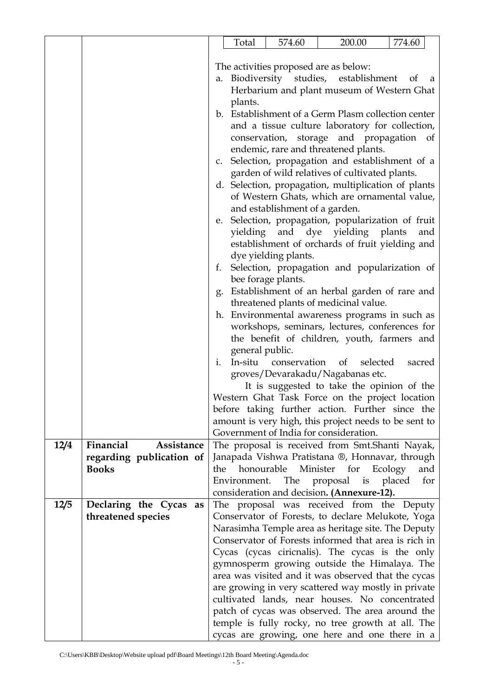|                                   | Total                     | 574.60                         | 200.00                                                                                                | 774.60        |
|-----------------------------------|---------------------------|--------------------------------|-------------------------------------------------------------------------------------------------------|---------------|
|                                   |                           |                                |                                                                                                       |               |
|                                   |                           |                                | The activities proposed are as below:                                                                 |               |
|                                   |                           |                                | a. Biodiversity studies, establishment                                                                | of<br>a       |
|                                   |                           |                                | Herbarium and plant museum of Western Ghat                                                            |               |
|                                   | plants.                   |                                |                                                                                                       |               |
|                                   |                           |                                | b. Establishment of a Germ Plasm collection center                                                    |               |
|                                   |                           |                                | and a tissue culture laboratory for collection,                                                       |               |
|                                   |                           |                                | conservation, storage and propagation of                                                              |               |
|                                   |                           |                                | endemic, rare and threatened plants.                                                                  |               |
|                                   |                           |                                | c. Selection, propagation and establishment of a<br>garden of wild relatives of cultivated plants.    |               |
|                                   |                           |                                | d. Selection, propagation, multiplication of plants                                                   |               |
|                                   |                           |                                | of Western Ghats, which are ornamental value,                                                         |               |
|                                   |                           | and establishment of a garden. |                                                                                                       |               |
|                                   |                           |                                | e. Selection, propagation, popularization of fruit                                                    |               |
|                                   |                           |                                | yielding and dye yielding plants                                                                      | and           |
|                                   |                           |                                | establishment of orchards of fruit yielding and                                                       |               |
|                                   |                           | dye yielding plants.           |                                                                                                       |               |
|                                   | f.                        |                                | Selection, propagation and popularization of                                                          |               |
|                                   |                           | bee forage plants.             |                                                                                                       |               |
|                                   |                           |                                | g. Establishment of an herbal garden of rare and                                                      |               |
|                                   |                           |                                | threatened plants of medicinal value.                                                                 |               |
|                                   |                           |                                | h. Environmental awareness programs in such as                                                        |               |
|                                   |                           |                                | workshops, seminars, lectures, conferences for                                                        |               |
|                                   |                           |                                | the benefit of children, youth, farmers and                                                           |               |
|                                   | general public.           |                                |                                                                                                       |               |
|                                   | In-situ<br>$\mathbf{i}$ . | conservation                   | selected<br>of                                                                                        | sacred        |
|                                   |                           |                                | groves/Devarakadu/Nagabanas etc.                                                                      |               |
|                                   |                           |                                | It is suggested to take the opinion of the<br>Western Ghat Task Force on the project location         |               |
|                                   |                           |                                | before taking further action. Further since the                                                       |               |
|                                   |                           |                                | amount is very high, this project needs to be sent to                                                 |               |
|                                   |                           |                                | Government of India for consideration.                                                                |               |
| Financial<br>Assistance<br>12/4   |                           |                                | The proposal is received from Smt.Shanti Nayak,                                                       |               |
| regarding publication of          |                           |                                | Janapada Vishwa Pratistana ®, Honnavar, through                                                       |               |
| <b>Books</b>                      | the                       |                                | honourable Minister for Ecology                                                                       | and           |
|                                   | Environment.              | The                            | $i$ s<br>proposal                                                                                     | placed<br>for |
|                                   |                           |                                | consideration and decision. (Annexure-12).                                                            |               |
| 12/5<br>Declaring the Cycas<br>as |                           |                                | The proposal was received from the Deputy                                                             |               |
| threatened species                |                           |                                |                                                                                                       |               |
|                                   |                           |                                | Conservator of Forests, to declare Melukote, Yoga                                                     |               |
|                                   |                           |                                | Narasimha Temple area as heritage site. The Deputy                                                    |               |
|                                   |                           |                                | Conservator of Forests informed that area is rich in                                                  |               |
|                                   |                           |                                | Cycas (cycas ciricnalis). The cycas is the only                                                       |               |
|                                   |                           |                                | gymnosperm growing outside the Himalaya. The                                                          |               |
|                                   |                           |                                | area was visited and it was observed that the cycas                                                   |               |
|                                   |                           |                                | are growing in very scattered way mostly in private                                                   |               |
|                                   |                           |                                | cultivated lands, near houses. No concentrated                                                        |               |
|                                   |                           |                                | patch of cycas was observed. The area around the<br>temple is fully rocky, no tree growth at all. The |               |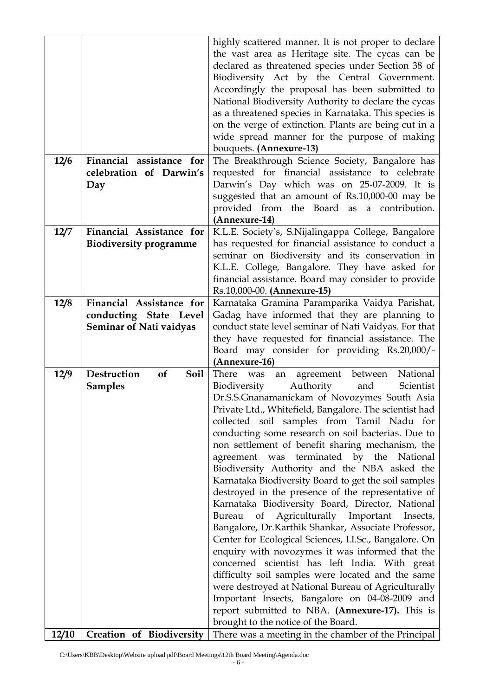|       |                                  | highly scattered manner. It is not proper to declare                                                   |
|-------|----------------------------------|--------------------------------------------------------------------------------------------------------|
|       |                                  | the vast area as Heritage site. The cycas can be                                                       |
|       |                                  | declared as threatened species under Section 38 of                                                     |
|       |                                  | Biodiversity Act by the Central Government.                                                            |
|       |                                  | Accordingly the proposal has been submitted to<br>National Biodiversity Authority to declare the cycas |
|       |                                  | as a threatened species in Karnataka. This species is                                                  |
|       |                                  | on the verge of extinction. Plants are being cut in a                                                  |
|       |                                  | wide spread manner for the purpose of making                                                           |
|       |                                  | bouquets. (Annexure-13)                                                                                |
| 12/6  | Financial assistance for         | The Breakthrough Science Society, Bangalore has                                                        |
|       | celebration of Darwin's          | requested for financial assistance to celebrate                                                        |
|       | Day                              | Darwin's Day which was on 25-07-2009. It is                                                            |
|       |                                  | suggested that an amount of Rs.10,000-00 may be                                                        |
|       |                                  | provided from the Board as a contribution.                                                             |
|       |                                  | (Annexure-14)                                                                                          |
| 12/7  | Financial Assistance for         | K.L.E. Society's, S.Nijalingappa College, Bangalore                                                    |
|       | <b>Biodiversity programme</b>    | has requested for financial assistance to conduct a                                                    |
|       |                                  | seminar on Biodiversity and its conservation in                                                        |
|       |                                  | K.L.E. College, Bangalore. They have asked for<br>financial assistance. Board may consider to provide  |
|       |                                  | Rs.10,000-00. (Annexure-15)                                                                            |
| 12/8  | Financial Assistance for         | Karnataka Gramina Paramparika Vaidya Parishat,                                                         |
|       | conducting State Level           | Gadag have informed that they are planning to                                                          |
|       | <b>Seminar of Nati vaidyas</b>   | conduct state level seminar of Nati Vaidyas. For that                                                  |
|       |                                  | they have requested for financial assistance. The                                                      |
|       |                                  | Board may consider for providing Rs.20,000/-                                                           |
|       |                                  | (Annexure-16)                                                                                          |
| 12/9  | <b>Destruction</b><br>of<br>Soil | National<br>There<br>agreement<br>between<br>was<br>an                                                 |
|       | <b>Samples</b>                   | Authority<br>Biodiversity<br>and<br>Scientist                                                          |
|       |                                  | Dr.S.S.Gnanamanickam of Novozymes South Asia                                                           |
|       |                                  | Private Ltd., Whitefield, Bangalore. The scientist had                                                 |
|       |                                  | collected soil samples from Tamil Nadu for                                                             |
|       |                                  | conducting some research on soil bacterias. Due to<br>non settlement of benefit sharing mechanism, the |
|       |                                  | agreement was terminated by the National                                                               |
|       |                                  | Biodiversity Authority and the NBA asked the                                                           |
|       |                                  | Karnataka Biodiversity Board to get the soil samples                                                   |
|       |                                  | destroyed in the presence of the representative of                                                     |
|       |                                  | Karnataka Biodiversity Board, Director, National                                                       |
|       |                                  | Bureau of Agriculturally Important Insects,                                                            |
|       |                                  | Bangalore, Dr.Karthik Shankar, Associate Professor,                                                    |
|       |                                  | Center for Ecological Sciences, I.I.Sc., Bangalore. On                                                 |
|       |                                  | enquiry with novozymes it was informed that the                                                        |
|       |                                  | concerned scientist has left India. With great                                                         |
|       |                                  | difficulty soil samples were located and the same                                                      |
|       |                                  | were destroyed at National Bureau of Agriculturally                                                    |
|       |                                  | Important Insects, Bangalore on 04-08-2009 and                                                         |
|       |                                  | report submitted to NBA. (Annexure-17). This is<br>brought to the notice of the Board.                 |
| 12/10 | Creation of Biodiversity         | There was a meeting in the chamber of the Principal                                                    |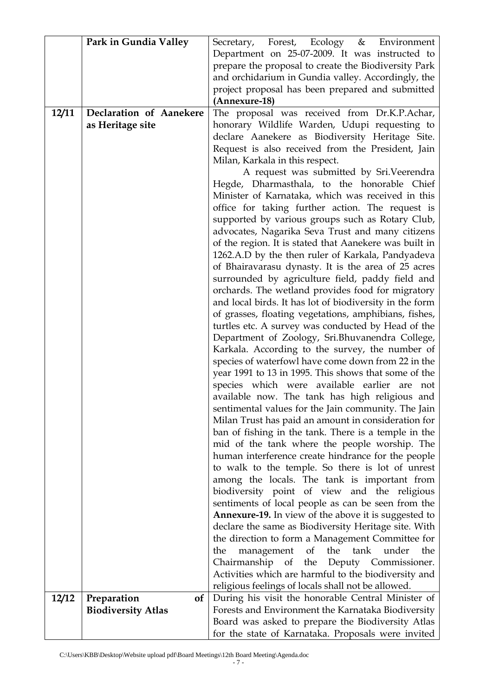|       | Park in Gundia Valley     | Secretary, Forest, Ecology & Environment                                                       |  |  |  |
|-------|---------------------------|------------------------------------------------------------------------------------------------|--|--|--|
|       |                           | Department on 25-07-2009. It was instructed to                                                 |  |  |  |
|       |                           | prepare the proposal to create the Biodiversity Park                                           |  |  |  |
|       |                           | and orchidarium in Gundia valley. Accordingly, the                                             |  |  |  |
|       |                           | project proposal has been prepared and submitted                                               |  |  |  |
|       |                           | (Annexure-18)                                                                                  |  |  |  |
| 12/11 | Declaration of Aanekere   | The proposal was received from Dr.K.P.Achar,                                                   |  |  |  |
|       | as Heritage site          | honorary Wildlife Warden, Udupi requesting to                                                  |  |  |  |
|       |                           | declare Aanekere as Biodiversity Heritage Site.                                                |  |  |  |
|       |                           | Request is also received from the President, Jain                                              |  |  |  |
|       |                           | Milan, Karkala in this respect.                                                                |  |  |  |
|       |                           | A request was submitted by Sri.Veerendra                                                       |  |  |  |
|       |                           | Hegde, Dharmasthala, to the honorable Chief                                                    |  |  |  |
|       |                           | Minister of Karnataka, which was received in this                                              |  |  |  |
|       |                           | office for taking further action. The request is                                               |  |  |  |
|       |                           | supported by various groups such as Rotary Club,                                               |  |  |  |
|       |                           | advocates, Nagarika Seva Trust and many citizens                                               |  |  |  |
|       |                           | of the region. It is stated that Aanekere was built in                                         |  |  |  |
|       |                           | 1262.A.D by the then ruler of Karkala, Pandyadeva                                              |  |  |  |
|       |                           | of Bhairavarasu dynasty. It is the area of 25 acres                                            |  |  |  |
|       |                           | surrounded by agriculture field, paddy field and                                               |  |  |  |
|       |                           | orchards. The wetland provides food for migratory                                              |  |  |  |
|       |                           | and local birds. It has lot of biodiversity in the form                                        |  |  |  |
|       |                           | of grasses, floating vegetations, amphibians, fishes,                                          |  |  |  |
|       |                           | turtles etc. A survey was conducted by Head of the                                             |  |  |  |
|       |                           | Department of Zoology, Sri.Bhuvanendra College,                                                |  |  |  |
|       |                           | Karkala. According to the survey, the number of                                                |  |  |  |
|       |                           | species of waterfowl have come down from 22 in the                                             |  |  |  |
|       |                           | year 1991 to 13 in 1995. This shows that some of the                                           |  |  |  |
|       |                           | species which were available earlier are not<br>available now. The tank has high religious and |  |  |  |
|       |                           | sentimental values for the Jain community. The Jain                                            |  |  |  |
|       |                           | Milan Trust has paid an amount in consideration for                                            |  |  |  |
|       |                           | ban of fishing in the tank. There is a temple in the                                           |  |  |  |
|       |                           | mid of the tank where the people worship. The                                                  |  |  |  |
|       |                           | human interference create hindrance for the people                                             |  |  |  |
|       |                           | to walk to the temple. So there is lot of unrest                                               |  |  |  |
|       |                           | among the locals. The tank is important from                                                   |  |  |  |
|       |                           | biodiversity point of view and the religious                                                   |  |  |  |
|       |                           | sentiments of local people as can be seen from the                                             |  |  |  |
|       |                           | Annexure-19. In view of the above it is suggested to                                           |  |  |  |
|       |                           | declare the same as Biodiversity Heritage site. With                                           |  |  |  |
|       |                           | the direction to form a Management Committee for                                               |  |  |  |
|       |                           | the<br>tank<br>management<br>of<br>under<br>the<br>the                                         |  |  |  |
|       |                           | Chairmanship of<br>the Deputy Commissioner.                                                    |  |  |  |
|       |                           | Activities which are harmful to the biodiversity and                                           |  |  |  |
|       |                           | religious feelings of locals shall not be allowed.                                             |  |  |  |
| 12/12 | Preparation<br>of         | During his visit the honorable Central Minister of                                             |  |  |  |
|       | <b>Biodiversity Atlas</b> | Forests and Environment the Karnataka Biodiversity                                             |  |  |  |
|       |                           | Board was asked to prepare the Biodiversity Atlas                                              |  |  |  |
|       |                           | for the state of Karnataka. Proposals were invited                                             |  |  |  |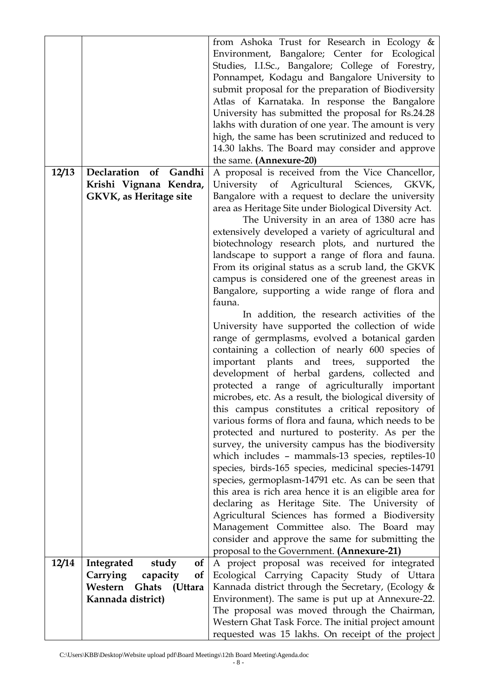|       |                                                            | from Ashoka Trust for Research in Ecology &<br>Environment, Bangalore; Center for Ecological<br>Studies, I.I.Sc., Bangalore; College of Forestry,<br>Ponnampet, Kodagu and Bangalore University to<br>submit proposal for the preparation of Biodiversity<br>Atlas of Karnataka. In response the Bangalore<br>University has submitted the proposal for Rs.24.28 |
|-------|------------------------------------------------------------|------------------------------------------------------------------------------------------------------------------------------------------------------------------------------------------------------------------------------------------------------------------------------------------------------------------------------------------------------------------|
|       |                                                            | lakhs with duration of one year. The amount is very<br>high, the same has been scrutinized and reduced to                                                                                                                                                                                                                                                        |
|       |                                                            | 14.30 lakhs. The Board may consider and approve<br>the same. (Annexure-20)                                                                                                                                                                                                                                                                                       |
| 12/13 | Declaration of Gandhi                                      | A proposal is received from the Vice Chancellor,                                                                                                                                                                                                                                                                                                                 |
|       | Krishi Vignana Kendra,                                     | Agricultural Sciences,<br>University of<br>GKVK,<br>Bangalore with a request to declare the university                                                                                                                                                                                                                                                           |
|       | <b>GKVK, as Heritage site</b>                              | area as Heritage Site under Biological Diversity Act.                                                                                                                                                                                                                                                                                                            |
|       |                                                            | The University in an area of 1380 acre has                                                                                                                                                                                                                                                                                                                       |
|       |                                                            | extensively developed a variety of agricultural and                                                                                                                                                                                                                                                                                                              |
|       |                                                            | biotechnology research plots, and nurtured the                                                                                                                                                                                                                                                                                                                   |
|       |                                                            | landscape to support a range of flora and fauna.<br>From its original status as a scrub land, the GKVK                                                                                                                                                                                                                                                           |
|       |                                                            | campus is considered one of the greenest areas in                                                                                                                                                                                                                                                                                                                |
|       |                                                            | Bangalore, supporting a wide range of flora and                                                                                                                                                                                                                                                                                                                  |
|       |                                                            | fauna.                                                                                                                                                                                                                                                                                                                                                           |
|       |                                                            | In addition, the research activities of the<br>University have supported the collection of wide                                                                                                                                                                                                                                                                  |
|       |                                                            | range of germplasms, evolved a botanical garden                                                                                                                                                                                                                                                                                                                  |
|       |                                                            | containing a collection of nearly 600 species of                                                                                                                                                                                                                                                                                                                 |
|       |                                                            | important plants and trees, supported the                                                                                                                                                                                                                                                                                                                        |
|       |                                                            | development of herbal gardens, collected and<br>protected a range of agriculturally important                                                                                                                                                                                                                                                                    |
|       |                                                            |                                                                                                                                                                                                                                                                                                                                                                  |
|       |                                                            |                                                                                                                                                                                                                                                                                                                                                                  |
|       |                                                            | microbes, etc. As a result, the biological diversity of<br>this campus constitutes a critical repository of                                                                                                                                                                                                                                                      |
|       |                                                            | various forms of flora and fauna, which needs to be                                                                                                                                                                                                                                                                                                              |
|       |                                                            | protected and nurtured to posterity. As per the                                                                                                                                                                                                                                                                                                                  |
|       |                                                            | survey, the university campus has the biodiversity                                                                                                                                                                                                                                                                                                               |
|       |                                                            | which includes - mammals-13 species, reptiles-10<br>species, birds-165 species, medicinal species-14791                                                                                                                                                                                                                                                          |
|       |                                                            | species, germoplasm-14791 etc. As can be seen that                                                                                                                                                                                                                                                                                                               |
|       |                                                            | this area is rich area hence it is an eligible area for                                                                                                                                                                                                                                                                                                          |
|       |                                                            | declaring as Heritage Site. The University of                                                                                                                                                                                                                                                                                                                    |
|       |                                                            | Agricultural Sciences has formed a Biodiversity<br>Management Committee also. The Board may                                                                                                                                                                                                                                                                      |
|       |                                                            | consider and approve the same for submitting the                                                                                                                                                                                                                                                                                                                 |
|       |                                                            | proposal to the Government. (Annexure-21)                                                                                                                                                                                                                                                                                                                        |
| 12/14 | Integrated<br>study<br>0f                                  | A project proposal was received for integrated                                                                                                                                                                                                                                                                                                                   |
|       | Carrying<br>0f<br>capacity<br>Western<br>Ghats<br>(Uttara) | Ecological Carrying Capacity Study of Uttara<br>Kannada district through the Secretary, (Ecology &                                                                                                                                                                                                                                                               |
|       | Kannada district)                                          | Environment). The same is put up at Annexure-22.                                                                                                                                                                                                                                                                                                                 |
|       |                                                            | The proposal was moved through the Chairman,<br>Western Ghat Task Force. The initial project amount                                                                                                                                                                                                                                                              |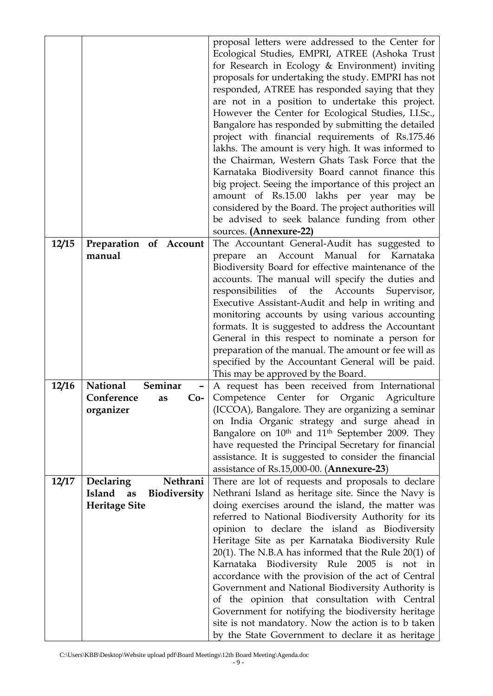|       |                                                             | proposal letters were addressed to the Center for<br>Ecological Studies, EMPRI, ATREE (Ashoka Trust<br>for Research in Ecology & Environment) inviting<br>proposals for undertaking the study. EMPRI has not<br>responded, ATREE has responded saying that they<br>are not in a position to undertake this project.<br>However the Center for Ecological Studies, I.I.Sc.,<br>Bangalore has responded by submitting the detailed<br>project with financial requirements of Rs.175.46<br>lakhs. The amount is very high. It was informed to<br>the Chairman, Western Ghats Task Force that the<br>Karnataka Biodiversity Board cannot finance this |
|-------|-------------------------------------------------------------|---------------------------------------------------------------------------------------------------------------------------------------------------------------------------------------------------------------------------------------------------------------------------------------------------------------------------------------------------------------------------------------------------------------------------------------------------------------------------------------------------------------------------------------------------------------------------------------------------------------------------------------------------|
|       |                                                             | big project. Seeing the importance of this project an                                                                                                                                                                                                                                                                                                                                                                                                                                                                                                                                                                                             |
|       |                                                             | amount of Rs.15.00 lakhs per year may be<br>considered by the Board. The project authorities will                                                                                                                                                                                                                                                                                                                                                                                                                                                                                                                                                 |
|       |                                                             | be advised to seek balance funding from other                                                                                                                                                                                                                                                                                                                                                                                                                                                                                                                                                                                                     |
| 12/15 | Preparation of Account                                      | sources. (Annexure-22)<br>The Accountant General-Audit has suggested to                                                                                                                                                                                                                                                                                                                                                                                                                                                                                                                                                                           |
| 12/16 | manual<br>Seminar<br><b>National</b>                        | Account Manual for<br>Karnataka<br>prepare<br>an<br>Biodiversity Board for effective maintenance of the<br>accounts. The manual will specify the duties and<br>responsibilities of the Accounts<br>Supervisor,<br>Executive Assistant-Audit and help in writing and<br>monitoring accounts by using various accounting<br>formats. It is suggested to address the Accountant<br>General in this respect to nominate a person for<br>preparation of the manual. The amount or fee will as<br>specified by the Accountant General will be paid.<br>This may be approved by the Board.<br>A request has been received from International             |
|       | Conference<br>$Co-$<br>as                                   | Competence Center for Organic Agriculture                                                                                                                                                                                                                                                                                                                                                                                                                                                                                                                                                                                                         |
|       | organizer                                                   | (ICCOA), Bangalore. They are organizing a seminar<br>on India Organic strategy and surge ahead in                                                                                                                                                                                                                                                                                                                                                                                                                                                                                                                                                 |
|       |                                                             | Bangalore on 10 <sup>th</sup> and 11 <sup>th</sup> September 2009. They                                                                                                                                                                                                                                                                                                                                                                                                                                                                                                                                                                           |
|       |                                                             | have requested the Principal Secretary for financial<br>assistance. It is suggested to consider the financial                                                                                                                                                                                                                                                                                                                                                                                                                                                                                                                                     |
|       |                                                             | assistance of Rs.15,000-00. (Annexure-23)                                                                                                                                                                                                                                                                                                                                                                                                                                                                                                                                                                                                         |
| 12/17 | Nethrani<br><b>Declaring</b>                                | There are lot of requests and proposals to declare                                                                                                                                                                                                                                                                                                                                                                                                                                                                                                                                                                                                |
|       | Island<br><b>Biodiversity</b><br>as<br><b>Heritage Site</b> | Nethrani Island as heritage site. Since the Navy is<br>doing exercises around the island, the matter was                                                                                                                                                                                                                                                                                                                                                                                                                                                                                                                                          |
|       |                                                             | referred to National Biodiversity Authority for its                                                                                                                                                                                                                                                                                                                                                                                                                                                                                                                                                                                               |
|       |                                                             | opinion to declare the island as Biodiversity<br>Heritage Site as per Karnataka Biodiversity Rule                                                                                                                                                                                                                                                                                                                                                                                                                                                                                                                                                 |
|       |                                                             | $20(1)$ . The N.B.A has informed that the Rule $20(1)$ of<br>Karnataka Biodiversity Rule 2005 is not in                                                                                                                                                                                                                                                                                                                                                                                                                                                                                                                                           |
|       |                                                             | accordance with the provision of the act of Central                                                                                                                                                                                                                                                                                                                                                                                                                                                                                                                                                                                               |
|       |                                                             | Government and National Biodiversity Authority is<br>of the opinion that consultation with Central                                                                                                                                                                                                                                                                                                                                                                                                                                                                                                                                                |
|       |                                                             | Government for notifying the biodiversity heritage                                                                                                                                                                                                                                                                                                                                                                                                                                                                                                                                                                                                |
|       |                                                             | site is not mandatory. Now the action is to b taken<br>by the State Government to declare it as heritage                                                                                                                                                                                                                                                                                                                                                                                                                                                                                                                                          |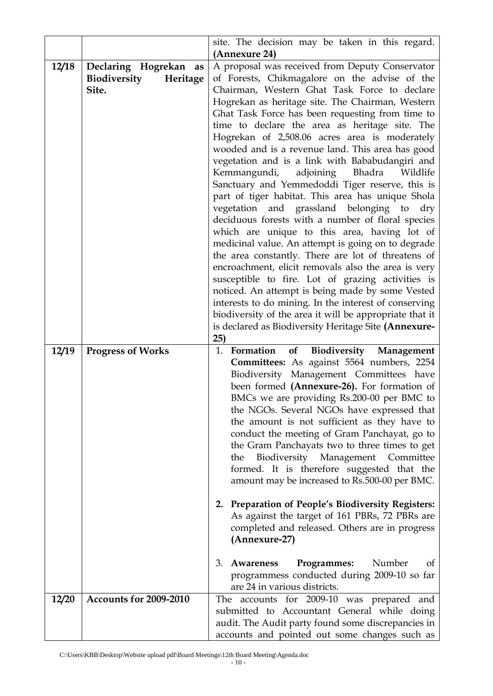|       |                                                               | site. The decision may be taken in this regard.                                                                                                                                                                                                                                                                                                                                                                                                                                                                                                                                                                                                                                                                                                                                                                                                                                                                                                                                                                                                                                                                                                                                                                                             |  |  |
|-------|---------------------------------------------------------------|---------------------------------------------------------------------------------------------------------------------------------------------------------------------------------------------------------------------------------------------------------------------------------------------------------------------------------------------------------------------------------------------------------------------------------------------------------------------------------------------------------------------------------------------------------------------------------------------------------------------------------------------------------------------------------------------------------------------------------------------------------------------------------------------------------------------------------------------------------------------------------------------------------------------------------------------------------------------------------------------------------------------------------------------------------------------------------------------------------------------------------------------------------------------------------------------------------------------------------------------|--|--|
|       |                                                               | (Annexure 24)                                                                                                                                                                                                                                                                                                                                                                                                                                                                                                                                                                                                                                                                                                                                                                                                                                                                                                                                                                                                                                                                                                                                                                                                                               |  |  |
| 12/18 | Declaring Hogrekan<br>as<br>Biodiversity<br>Heritage<br>Site. | A proposal was received from Deputy Conservator<br>of Forests, Chikmagalore on the advise of the<br>Chairman, Western Ghat Task Force to declare<br>Hogrekan as heritage site. The Chairman, Western<br>Ghat Task Force has been requesting from time to<br>time to declare the area as heritage site. The<br>Hogrekan of 2,508.06 acres area is moderately<br>wooded and is a revenue land. This area has good<br>vegetation and is a link with Bababudangiri and<br>adjoining Bhadra<br>Wildlife<br>Kemmangundi,<br>Sanctuary and Yemmedoddi Tiger reserve, this is<br>part of tiger habitat. This area has unique Shola<br>vegetation and grassland belonging to dry<br>deciduous forests with a number of floral species<br>which are unique to this area, having lot of<br>medicinal value. An attempt is going on to degrade<br>the area constantly. There are lot of threatens of<br>encroachment, elicit removals also the area is very<br>susceptible to fire. Lot of grazing activities is<br>noticed. An attempt is being made by some Vested<br>interests to do mining. In the interest of conserving<br>biodiversity of the area it will be appropriate that it<br>is declared as Biodiversity Heritage Site (Annexure-<br>25) |  |  |
| 12/19 | <b>Progress of Works</b>                                      | of<br>Biodiversity Management<br>1. Formation<br>Committees: As against 5564 numbers, 2254<br>Biodiversity Management Committees have<br>been formed (Annexure-26). For formation of<br>BMCs we are providing Rs.200-00 per BMC to<br>the NGOs. Several NGOs have expressed that<br>the amount is not sufficient as they have to<br>conduct the meeting of Gram Panchayat, go to<br>the Gram Panchayats two to three times to get<br>Biodiversity<br>Management Committee<br>the<br>formed. It is therefore suggested that the<br>amount may be increased to Rs.500-00 per BMC.<br>2. Preparation of People's Biodiversity Registers:<br>As against the target of 161 PBRs, 72 PBRs are<br>completed and released. Others are in progress<br>(Annexure-27)<br>Programmes:<br>Number<br>3. Awareness<br>0t<br>programmess conducted during 2009-10 so far<br>are 24 in various districts.                                                                                                                                                                                                                                                                                                                                                    |  |  |
| 12/20 | Accounts for 2009-2010                                        | The accounts for 2009-10 was prepared and<br>submitted to Accountant General while doing                                                                                                                                                                                                                                                                                                                                                                                                                                                                                                                                                                                                                                                                                                                                                                                                                                                                                                                                                                                                                                                                                                                                                    |  |  |
|       |                                                               | audit. The Audit party found some discrepancies in<br>accounts and pointed out some changes such as                                                                                                                                                                                                                                                                                                                                                                                                                                                                                                                                                                                                                                                                                                                                                                                                                                                                                                                                                                                                                                                                                                                                         |  |  |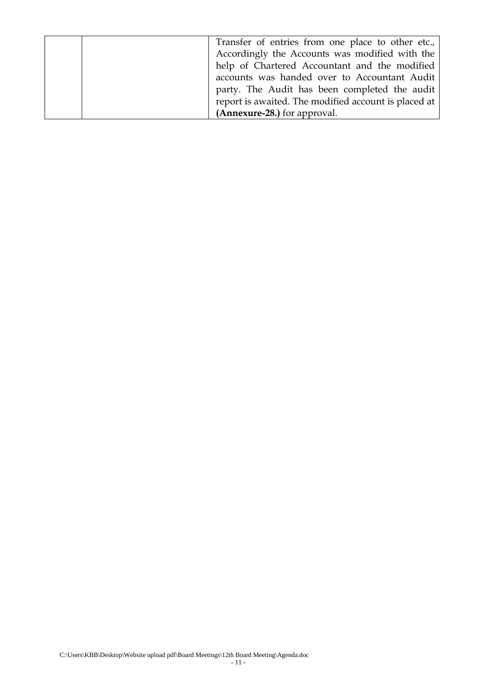| Transfer of entries from one place to other etc.,    |
|------------------------------------------------------|
| Accordingly the Accounts was modified with the       |
| help of Chartered Accountant and the modified        |
| accounts was handed over to Accountant Audit         |
| party. The Audit has been completed the audit        |
| report is awaited. The modified account is placed at |
| (Annexure-28.) for approval.                         |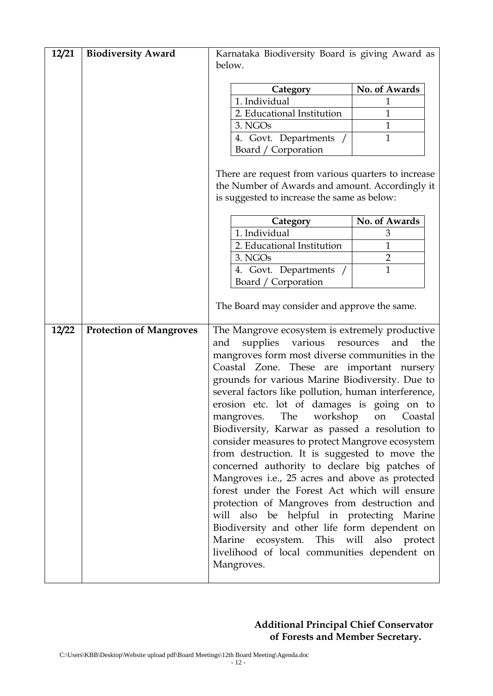| 12/21 | <b>Biodiversity Award</b>      | Karnataka Biodiversity Board is giving Award as                                                                                                                                                                                                                                                                                                                                                                                                                                                                                                                                                                                                                                                                                                                                                                                                                                                                                                        |               |  |
|-------|--------------------------------|--------------------------------------------------------------------------------------------------------------------------------------------------------------------------------------------------------------------------------------------------------------------------------------------------------------------------------------------------------------------------------------------------------------------------------------------------------------------------------------------------------------------------------------------------------------------------------------------------------------------------------------------------------------------------------------------------------------------------------------------------------------------------------------------------------------------------------------------------------------------------------------------------------------------------------------------------------|---------------|--|
|       |                                | below.                                                                                                                                                                                                                                                                                                                                                                                                                                                                                                                                                                                                                                                                                                                                                                                                                                                                                                                                                 |               |  |
|       |                                |                                                                                                                                                                                                                                                                                                                                                                                                                                                                                                                                                                                                                                                                                                                                                                                                                                                                                                                                                        |               |  |
|       |                                | Category                                                                                                                                                                                                                                                                                                                                                                                                                                                                                                                                                                                                                                                                                                                                                                                                                                                                                                                                               | No. of Awards |  |
|       |                                | 1. Individual                                                                                                                                                                                                                                                                                                                                                                                                                                                                                                                                                                                                                                                                                                                                                                                                                                                                                                                                          | 1             |  |
|       |                                | 2. Educational Institution                                                                                                                                                                                                                                                                                                                                                                                                                                                                                                                                                                                                                                                                                                                                                                                                                                                                                                                             | $\mathbf{1}$  |  |
|       |                                | 3. NGOs                                                                                                                                                                                                                                                                                                                                                                                                                                                                                                                                                                                                                                                                                                                                                                                                                                                                                                                                                | 1             |  |
|       |                                | 4. Govt. Departments /                                                                                                                                                                                                                                                                                                                                                                                                                                                                                                                                                                                                                                                                                                                                                                                                                                                                                                                                 | $\mathbf{1}$  |  |
|       |                                | Board / Corporation                                                                                                                                                                                                                                                                                                                                                                                                                                                                                                                                                                                                                                                                                                                                                                                                                                                                                                                                    |               |  |
|       |                                | There are request from various quarters to increase<br>the Number of Awards and amount. Accordingly it<br>is suggested to increase the same as below:                                                                                                                                                                                                                                                                                                                                                                                                                                                                                                                                                                                                                                                                                                                                                                                                  |               |  |
|       |                                | Category                                                                                                                                                                                                                                                                                                                                                                                                                                                                                                                                                                                                                                                                                                                                                                                                                                                                                                                                               | No. of Awards |  |
|       |                                | 1. Individual                                                                                                                                                                                                                                                                                                                                                                                                                                                                                                                                                                                                                                                                                                                                                                                                                                                                                                                                          | 3             |  |
|       |                                | 2. Educational Institution                                                                                                                                                                                                                                                                                                                                                                                                                                                                                                                                                                                                                                                                                                                                                                                                                                                                                                                             | 1             |  |
|       |                                | 3. NGOs                                                                                                                                                                                                                                                                                                                                                                                                                                                                                                                                                                                                                                                                                                                                                                                                                                                                                                                                                | 2             |  |
|       |                                | 4. Govt. Departments /                                                                                                                                                                                                                                                                                                                                                                                                                                                                                                                                                                                                                                                                                                                                                                                                                                                                                                                                 | $\mathbf{1}$  |  |
|       |                                | Board / Corporation                                                                                                                                                                                                                                                                                                                                                                                                                                                                                                                                                                                                                                                                                                                                                                                                                                                                                                                                    |               |  |
|       |                                | The Board may consider and approve the same.                                                                                                                                                                                                                                                                                                                                                                                                                                                                                                                                                                                                                                                                                                                                                                                                                                                                                                           |               |  |
| 12/22 | <b>Protection of Mangroves</b> | The Mangrove ecosystem is extremely productive<br>supplies<br>various resources<br>and<br>mangroves form most diverse communities in the<br>Coastal Zone. These are important nursery<br>grounds for various Marine Biodiversity. Due to<br>several factors like pollution, human interference,<br>erosion etc. lot of damages is going on to<br>mangroves. The workshop on Coastal<br>Biodiversity, Karwar as passed a resolution to<br>consider measures to protect Mangrove ecosystem<br>from destruction. It is suggested to move the<br>concerned authority to declare big patches of<br>Mangroves i.e., 25 acres and above as protected<br>forest under the Forest Act which will ensure<br>protection of Mangroves from destruction and<br>will also be helpful in protecting Marine<br>Biodiversity and other life form dependent on<br>Marine ecosystem. This will also protect<br>livelihood of local communities dependent on<br>Mangroves. | the<br>and    |  |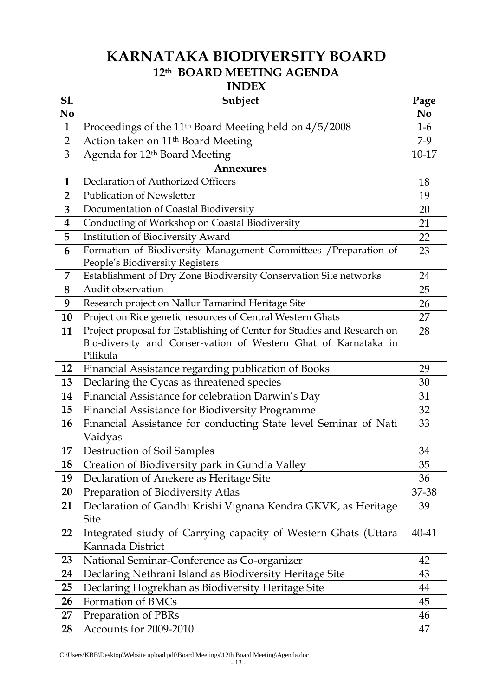# **KARNATAKA BIODIVERSITY BOARD th BOARD MEETING AGENDA**

### **INDEX**

| <b>S1.</b><br>No | Subject                                                                                                                                                | Page<br>N <sub>0</sub> |
|------------------|--------------------------------------------------------------------------------------------------------------------------------------------------------|------------------------|
| $\mathbf{1}$     | Proceedings of the 11 <sup>th</sup> Board Meeting held on 4/5/2008                                                                                     | $1-6$                  |
| $\overline{2}$   | Action taken on 11 <sup>th</sup> Board Meeting                                                                                                         | $7-9$                  |
| 3                | Agenda for 12 <sup>th</sup> Board Meeting                                                                                                              | $10 - 17$              |
|                  | <b>Annexures</b>                                                                                                                                       |                        |
| $\mathbf{1}$     | Declaration of Authorized Officers                                                                                                                     | 18                     |
| $\overline{2}$   | <b>Publication of Newsletter</b>                                                                                                                       | 19                     |
| 3                | Documentation of Coastal Biodiversity                                                                                                                  | 20                     |
| 4                | Conducting of Workshop on Coastal Biodiversity                                                                                                         | 21                     |
| 5                | Institution of Biodiversity Award                                                                                                                      | 22                     |
| 6                | Formation of Biodiversity Management Committees / Preparation of<br>People's Biodiversity Registers                                                    | 23                     |
| 7                | Establishment of Dry Zone Biodiversity Conservation Site networks                                                                                      | 24                     |
| 8                | Audit observation                                                                                                                                      | 25                     |
| 9                | Research project on Nallur Tamarind Heritage Site                                                                                                      | 26                     |
| 10               | Project on Rice genetic resources of Central Western Ghats                                                                                             | 27                     |
| 11               | Project proposal for Establishing of Center for Studies and Research on<br>Bio-diversity and Conser-vation of Western Ghat of Karnataka in<br>Pilikula | 28                     |
| 12               | Financial Assistance regarding publication of Books                                                                                                    | 29                     |
| 13               | Declaring the Cycas as threatened species                                                                                                              | 30                     |
| 14               | Financial Assistance for celebration Darwin's Day                                                                                                      | 31                     |
| 15               | Financial Assistance for Biodiversity Programme                                                                                                        | 32                     |
| <b>16</b>        | Financial Assistance for conducting State level Seminar of Nati<br>Vaidyas                                                                             | 33                     |
| 17               | Destruction of Soil Samples                                                                                                                            | 34                     |
| 18               | Creation of Biodiversity park in Gundia Valley                                                                                                         | 35                     |
| 19               | Declaration of Anekere as Heritage Site                                                                                                                | 36                     |
| 20               | Preparation of Biodiversity Atlas                                                                                                                      | 37-38                  |
| 21               | Declaration of Gandhi Krishi Vignana Kendra GKVK, as Heritage<br><b>Site</b>                                                                           | 39                     |
| 22               | Integrated study of Carrying capacity of Western Ghats (Uttara<br>Kannada District                                                                     | 40-41                  |
| 23               | National Seminar-Conference as Co-organizer                                                                                                            | 42                     |
| 24               | Declaring Nethrani Island as Biodiversity Heritage Site                                                                                                | 43                     |
| 25               | Declaring Hogrekhan as Biodiversity Heritage Site                                                                                                      | 44                     |
| 26               | Formation of BMCs                                                                                                                                      | 45                     |
| 27               | Preparation of PBRs                                                                                                                                    | 46                     |
| 28               | Accounts for 2009-2010                                                                                                                                 | 47                     |

C:\Users\KBB\Desktop\Website upload pdf\Board Meetings\12th Board Meeting\Agenda.doc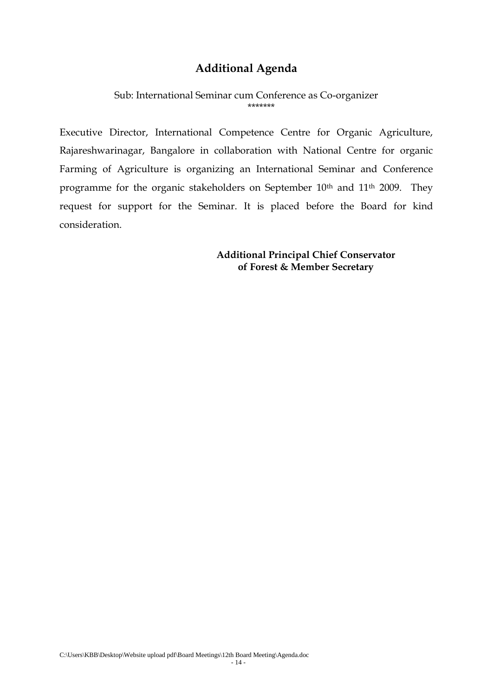### **Additional Agenda**

Sub: International Seminar cum Conference as Co-organizer \*\*\*\*\*\*\*

Executive Director, International Competence Centre for Organic Agriculture, Rajareshwarinagar, Bangalore in collaboration with National Centre for organic Farming of Agriculture is organizing an International Seminar and Conference programme for the organic stakeholders on September 10<sup>th</sup> and 11<sup>th</sup> 2009. They request for support for the Seminar. It is placed before the Board for kind consideration.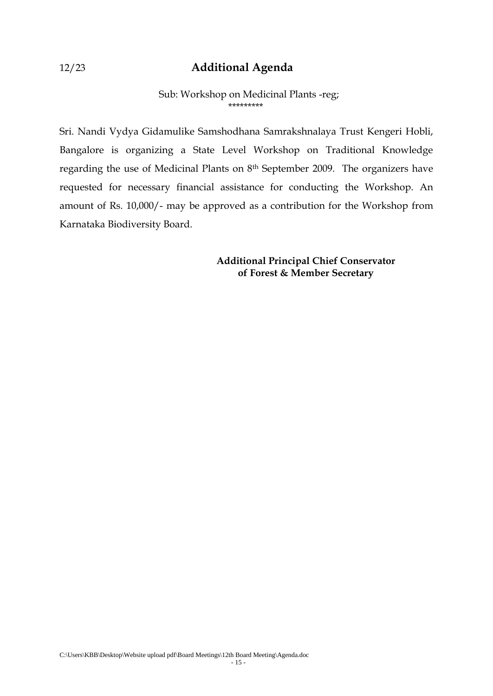### 12/23 **Additional Agenda**

#### Sub: Workshop on Medicinal Plants -reg; \*\*\*\*\*\*\*\*\*

Sri. Nandi Vydya Gidamulike Samshodhana Samrakshnalaya Trust Kengeri Hobli, Bangalore is organizing a State Level Workshop on Traditional Knowledge regarding the use of Medicinal Plants on 8th September 2009. The organizers have requested for necessary financial assistance for conducting the Workshop. An amount of Rs. 10,000/- may be approved as a contribution for the Workshop from Karnataka Biodiversity Board.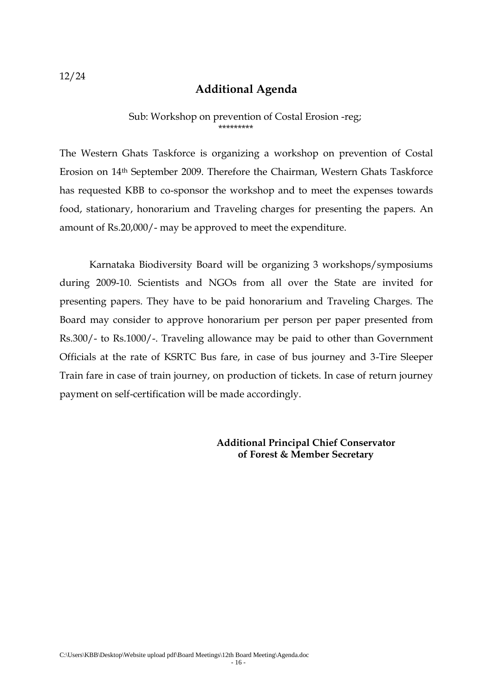## **Additional Agenda**

#### Sub: Workshop on prevention of Costal Erosion -reg; \*\*\*\*\*\*\*\*\*

The Western Ghats Taskforce is organizing a workshop on prevention of Costal Erosion on 14th September 2009. Therefore the Chairman, Western Ghats Taskforce has requested KBB to co-sponsor the workshop and to meet the expenses towards food, stationary, honorarium and Traveling charges for presenting the papers. An amount of Rs.20,000/- may be approved to meet the expenditure.

Karnataka Biodiversity Board will be organizing 3 workshops/symposiums during 2009-10. Scientists and NGOs from all over the State are invited for presenting papers. They have to be paid honorarium and Traveling Charges. The Board may consider to approve honorarium per person per paper presented from Rs.300/- to Rs.1000/-. Traveling allowance may be paid to other than Government Officials at the rate of KSRTC Bus fare, in case of bus journey and 3-Tire Sleeper Train fare in case of train journey, on production of tickets. In case of return journey payment on self-certification will be made accordingly.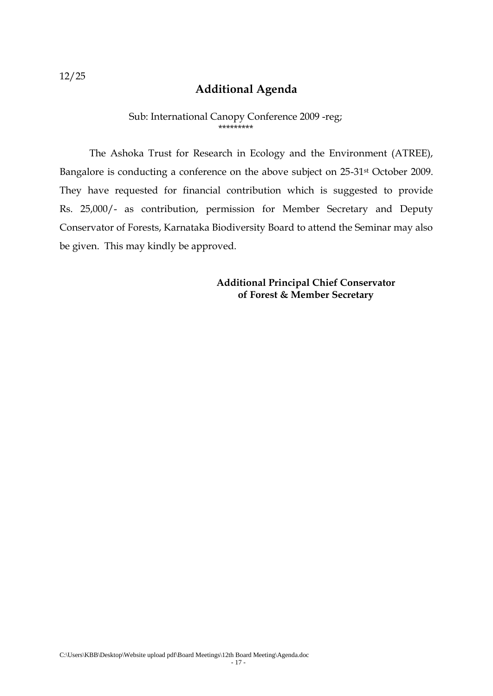## **Additional Agenda**

#### Sub: International Canopy Conference 2009 -reg; \*\*\*\*\*\*\*\*\*

The Ashoka Trust for Research in Ecology and the Environment (ATREE), Bangalore is conducting a conference on the above subject on 25-31st October 2009. They have requested for financial contribution which is suggested to provide Rs. 25,000/- as contribution, permission for Member Secretary and Deputy Conservator of Forests, Karnataka Biodiversity Board to attend the Seminar may also be given. This may kindly be approved.